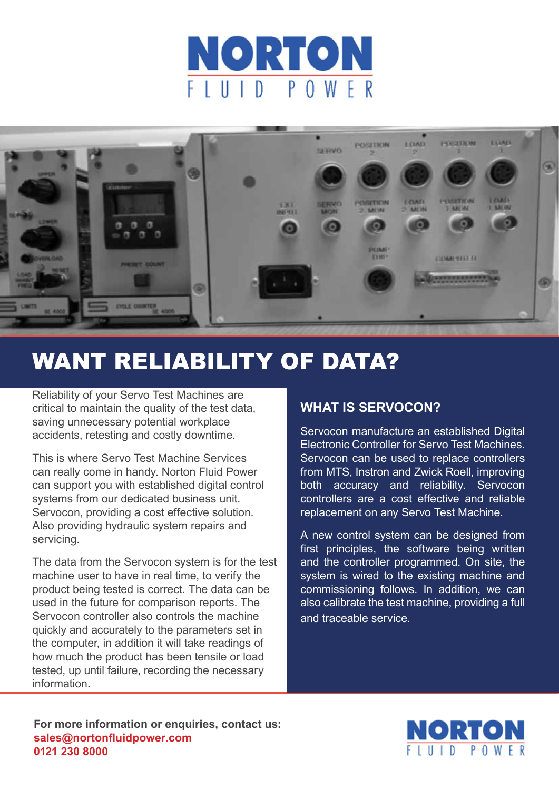



# WANT RELIABILITY OF DATA?

Reliability of your Servo Test Machines are critical to maintain the quality of the test data, saving unnecessary potential workplace accidents, retesting and costly downtime.

This is where Servo Test Machine Services can really come in handy. Norton Fluid Power can support you with established digital control systems from our dedicated business unit. Servocon, providing a cost effective solution. Also providing hydraulic system repairs and servicing.

The data from the Servocon system is for the test machine user to have in real time, to verify the product being tested is correct. The data can be used in the future for comparison reports. The Servocon controller also controls the machine quickly and accurately to the parameters set in the computer, in addition it will take readings of how much the product has been tensile or load tested, up until failure, recording the necessary information.

# **WHAT IS SERVOCON?**

Servocon manufacture an established Digital Electronic Controller for Servo Test Machines. Servocon can be used to replace controllers from MTS, Instron and Zwick Roell, improving both accuracy and reliability. Servocon controllers are a cost effective and reliable replacement on any Servo Test Machine.

A new control system can be designed from first principles, the software being written and the controller programmed. On site, the system is wired to the existing machine and commissioning follows. In addition, we can also calibrate the test machine, providing a full and traceable service.

**For more information or enquiries, contact us: sales@nortonfluidpower.com 0121 230 8000**